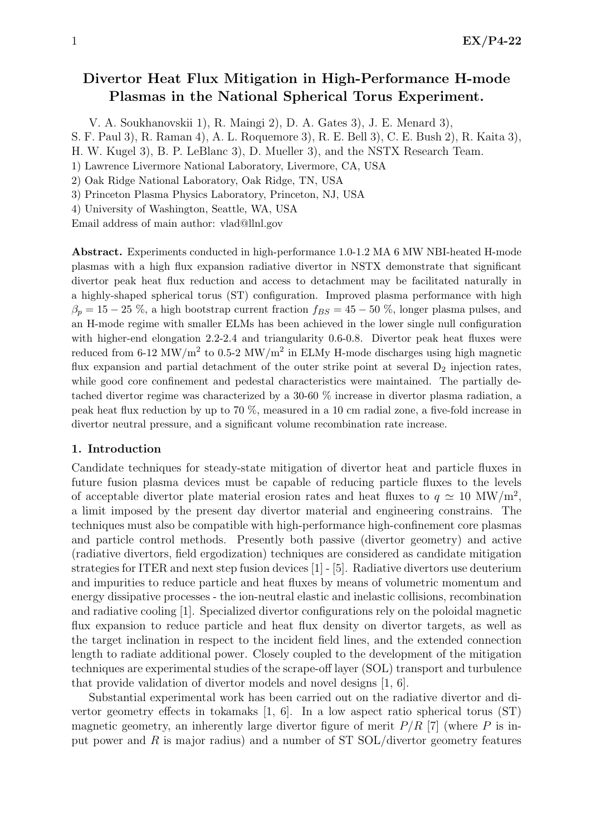# Divertor Heat Flux Mitigation in High-Performance H-mode Plasmas in the National Spherical Torus Experiment.

V. A. Soukhanovskii 1), R. Maingi 2), D. A. Gates 3), J. E. Menard 3),

S. F. Paul 3), R. Raman 4), A. L. Roquemore 3), R. E. Bell 3), C. E. Bush 2), R. Kaita 3),

H. W. Kugel 3), B. P. LeBlanc 3), D. Mueller 3), and the NSTX Research Team.

1) Lawrence Livermore National Laboratory, Livermore, CA, USA

2) Oak Ridge National Laboratory, Oak Ridge, TN, USA

3) Princeton Plasma Physics Laboratory, Princeton, NJ, USA

4) University of Washington, Seattle, WA, USA

Email address of main author: vlad@llnl.gov

Abstract. Experiments conducted in high-performance 1.0-1.2 MA 6 MW NBI-heated H-mode plasmas with a high flux expansion radiative divertor in NSTX demonstrate that significant divertor peak heat flux reduction and access to detachment may be facilitated naturally in a highly-shaped spherical torus (ST) configuration. Improved plasma performance with high  $\beta_p = 15 - 25$  %, a high bootstrap current fraction  $f_{BS} = 45 - 50$  %, longer plasma pulses, and an H-mode regime with smaller ELMs has been achieved in the lower single null configuration with higher-end elongation 2.2-2.4 and triangularity 0.6-0.8. Divertor peak heat fluxes were reduced from 6-12 MW/m<sup>2</sup> to 0.5-2 MW/m<sup>2</sup> in ELMy H-mode discharges using high magnetic flux expansion and partial detachment of the outer strike point at several  $D_2$  injection rates, while good core confinement and pedestal characteristics were maintained. The partially detached divertor regime was characterized by a 30-60 % increase in divertor plasma radiation, a peak heat flux reduction by up to 70 %, measured in a 10 cm radial zone, a five-fold increase in divertor neutral pressure, and a significant volume recombination rate increase.

### 1. Introduction

Candidate techniques for steady-state mitigation of divertor heat and particle fluxes in future fusion plasma devices must be capable of reducing particle fluxes to the levels of acceptable divertor plate material erosion rates and heat fluxes to  $q \simeq 10$  MW/m<sup>2</sup>, a limit imposed by the present day divertor material and engineering constrains. The techniques must also be compatible with high-performance high-confinement core plasmas and particle control methods. Presently both passive (divertor geometry) and active (radiative divertors, field ergodization) techniques are considered as candidate mitigation strategies for ITER and next step fusion devices [1] - [5]. Radiative divertors use deuterium and impurities to reduce particle and heat fluxes by means of volumetric momentum and energy dissipative processes - the ion-neutral elastic and inelastic collisions, recombination and radiative cooling [1]. Specialized divertor configurations rely on the poloidal magnetic flux expansion to reduce particle and heat flux density on divertor targets, as well as the target inclination in respect to the incident field lines, and the extended connection length to radiate additional power. Closely coupled to the development of the mitigation techniques are experimental studies of the scrape-off layer (SOL) transport and turbulence that provide validation of divertor models and novel designs [1, 6].

Substantial experimental work has been carried out on the radiative divertor and divertor geometry effects in tokamaks [1, 6]. In a low aspect ratio spherical torus (ST) magnetic geometry, an inherently large divertor figure of merit  $P/R$  [7] (where P is input power and  $R$  is major radius) and a number of ST SOL/divertor geometry features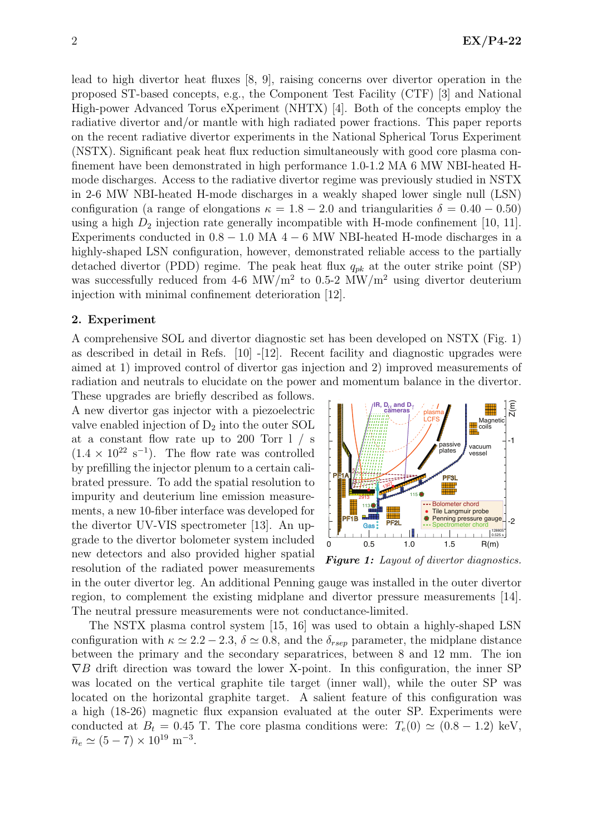lead to high divertor heat fluxes [8, 9], raising concerns over divertor operation in the proposed ST-based concepts, e.g., the Component Test Facility (CTF) [3] and National High-power Advanced Torus eXperiment (NHTX) [4]. Both of the concepts employ the radiative divertor and/or mantle with high radiated power fractions. This paper reports on the recent radiative divertor experiments in the National Spherical Torus Experiment (NSTX). Significant peak heat flux reduction simultaneously with good core plasma confinement have been demonstrated in high performance 1.0-1.2 MA 6 MW NBI-heated Hmode discharges. Access to the radiative divertor regime was previously studied in NSTX in 2-6 MW NBI-heated H-mode discharges in a weakly shaped lower single null (LSN) configuration (a range of elongations  $\kappa = 1.8 - 2.0$  and triangularities  $\delta = 0.40 - 0.50$ ) using a high  $D_2$  injection rate generally incompatible with H-mode confinement [10, 11]. Experiments conducted in  $0.8 - 1.0$  MA  $4 - 6$  MW NBI-heated H-mode discharges in a highly-shaped LSN configuration, however, demonstrated reliable access to the partially detached divertor (PDD) regime. The peak heat flux  $q_{pk}$  at the outer strike point (SP) was successfully reduced from 4-6 MW/m<sup>2</sup> to 0.5-2 MW/m<sup>2</sup> using divertor deuterium injection with minimal confinement deterioration [12].

## 2. Experiment

A comprehensive SOL and divertor diagnostic set has been developed on NSTX (Fig. 1) as described in detail in Refs. [10] -[12]. Recent facility and diagnostic upgrades were aimed at 1) improved control of divertor gas injection and 2) improved measurements of radiation and neutrals to elucidate on the power and momentum balance in the divertor. These upgrades are briefly described as follows.

A new divertor gas injector with a piezoelectric valve enabled injection of  $D_2$  into the outer SOL at a constant flow rate up to 200 Torr l / s  $(1.4 \times 10^{22} \text{ s}^{-1})$ . The flow rate was controlled by prefilling the injector plenum to a certain calibrated pressure. To add the spatial resolution to impurity and deuterium line emission measurements, a new 10-fiber interface was developed for the divertor UV-VIS spectrometer [13]. An upgrade to the divertor bolometer system included new detectors and also provided higher spatial resolution of the radiated power measurements



**Figure 1:** Layout of divertor diagnostics.

in the outer divertor leg. An additional Penning gauge was installed in the outer divertor region, to complement the existing midplane and divertor pressure measurements [14]. The neutral pressure measurements were not conductance-limited.

The NSTX plasma control system [15, 16] was used to obtain a highly-shaped LSN configuration with  $\kappa \simeq 2.2 - 2.3$ ,  $\delta \simeq 0.8$ , and the  $\delta_{rsep}$  parameter, the midplane distance between the primary and the secondary separatrices, between 8 and 12 mm. The ion  $\nabla B$  drift direction was toward the lower X-point. In this configuration, the inner SP was located on the vertical graphite tile target (inner wall), while the outer SP was located on the horizontal graphite target. A salient feature of this configuration was a high (18-26) magnetic flux expansion evaluated at the outer SP. Experiments were conducted at  $B_t = 0.45$  T. The core plasma conditions were:  $T_e(0) \simeq (0.8 - 1.2)$  keV,  $\bar{n}_e \simeq (5 - 7) \times 10^{19} \text{ m}^{-3}.$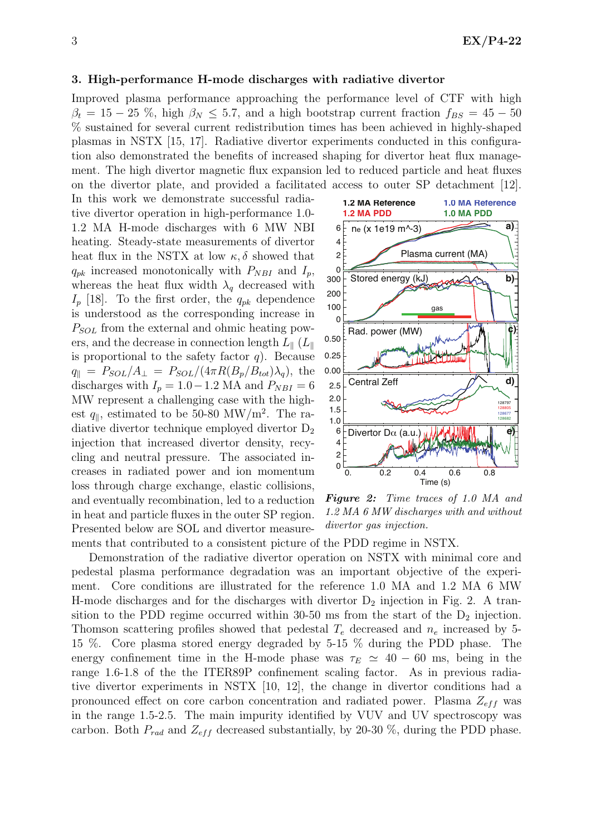#### 3. High-performance H-mode discharges with radiative divertor

Improved plasma performance approaching the performance level of CTF with high  $\beta_t = 15 - 25$  %, high  $\beta_N \leq 5.7$ , and a high bootstrap current fraction  $f_{BS} = 45 - 50$ % sustained for several current redistribution times has been achieved in highly-shaped plasmas in NSTX [15, 17]. Radiative divertor experiments conducted in this configuration also demonstrated the benefits of increased shaping for divertor heat flux management. The high divertor magnetic flux expansion led to reduced particle and heat fluxes on the divertor plate, and provided a facilitated access to outer SP detachment [12].

In this work we demonstrate successful radiative divertor operation in high-performance 1.0- 1.2 MA H-mode discharges with 6 MW NBI heating. Steady-state measurements of divertor heat flux in the NSTX at low  $\kappa$ ,  $\delta$  showed that  $q_{pk}$  increased monotonically with  $P_{NBI}$  and  $I_p$ , whereas the heat flux width  $\lambda_q$  decreased with  $I_p$  [18]. To the first order, the  $q_{pk}$  dependence is understood as the corresponding increase in  $P_{SOL}$  from the external and ohmic heating powers, and the decrease in connection length  $L_{\parallel}$  ( $L_{\parallel}$ ) is proportional to the safety factor  $q$ ). Because  $q_{\parallel} = P_{SOL}/A_{\perp} = P_{SOL}/(4\pi R(B_p/B_{tot})\lambda_q),$  the discharges with  $I_p = 1.0 - 1.2$  MA and  $P_{NBI} = 6$ MW represent a challenging case with the highest  $q_{\parallel}$ , estimated to be 50-80 MW/m<sup>2</sup>. The radiative divertor technique employed divertor  $D_2$ injection that increased divertor density, recycling and neutral pressure. The associated increases in radiated power and ion momentum loss through charge exchange, elastic collisions, and eventually recombination, led to a reduction in heat and particle fluxes in the outer SP region. Presented below are SOL and divertor measure-



Figure 2: Time traces of 1.0 MA and 1.2 MA 6 MW discharges with and without divertor gas injection.

ments that contributed to a consistent picture of the PDD regime in NSTX.

Demonstration of the radiative divertor operation on NSTX with minimal core and pedestal plasma performance degradation was an important objective of the experiment. Core conditions are illustrated for the reference 1.0 MA and 1.2 MA 6 MW H-mode discharges and for the discharges with divertor  $D_2$  injection in Fig. 2. A transition to the PDD regime occurred within  $30-50$  ms from the start of the  $D_2$  injection. Thomson scattering profiles showed that pedestal  $T_e$  decreased and  $n_e$  increased by 5-15 %. Core plasma stored energy degraded by 5-15 % during the PDD phase. The energy confinement time in the H-mode phase was  $\tau_E \simeq 40 - 60$  ms, being in the range 1.6-1.8 of the the ITER89P confinement scaling factor. As in previous radiative divertor experiments in NSTX [10, 12], the change in divertor conditions had a pronounced effect on core carbon concentration and radiated power. Plasma  $Z_{eff}$  was in the range 1.5-2.5. The main impurity identified by VUV and UV spectroscopy was carbon. Both  $P_{rad}$  and  $Z_{eff}$  decreased substantially, by 20-30 %, during the PDD phase.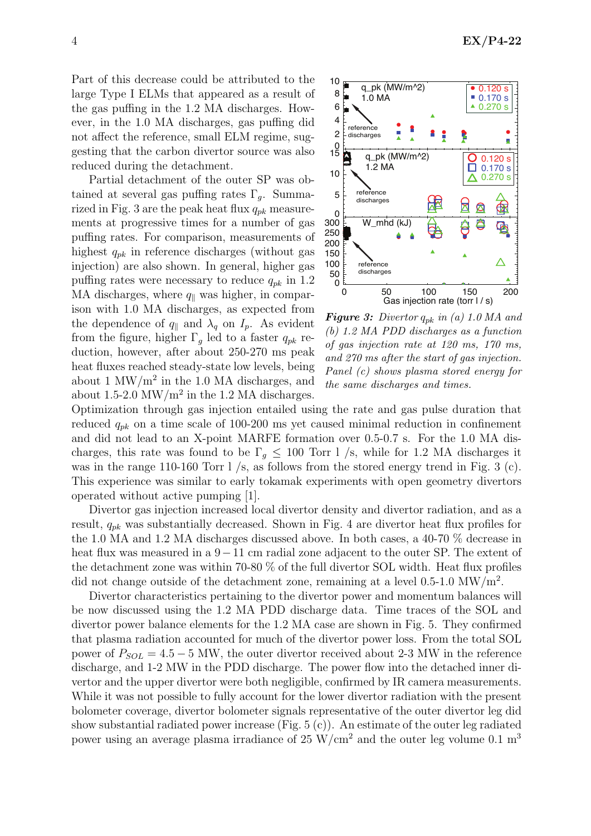Part of this decrease could be attributed to the large Type I ELMs that appeared as a result of the gas puffing in the 1.2 MA discharges. However, in the 1.0 MA discharges, gas puffing did not affect the reference, small ELM regime, suggesting that the carbon divertor source was also reduced during the detachment.

Partial detachment of the outer SP was obtained at several gas puffing rates  $\Gamma_q$ . Summarized in Fig. 3 are the peak heat flux  $q_{pk}$  measurements at progressive times for a number of gas puffing rates. For comparison, measurements of highest  $q_{pk}$  in reference discharges (without gas injection) are also shown. In general, higher gas puffing rates were necessary to reduce  $q_{pk}$  in 1.2 MA discharges, where  $q_{\parallel}$  was higher, in comparison with 1.0 MA discharges, as expected from the dependence of  $q_{\parallel}$  and  $\lambda_q$  on  $I_p$ . As evident from the figure, higher  $\Gamma_g$  led to a faster  $q_{pk}$  reduction, however, after about 250-270 ms peak heat fluxes reached steady-state low levels, being about 1  $\text{MW/m}^2$  in the 1.0 MA discharges, and about 1.5-2.0  $\text{MW/m}^2$  in the 1.2 MA discharges.



**Figure 3:** Divertor  $q_{pk}$  in (a) 1.0 MA and (b) 1.2 MA PDD discharges as a function of gas injection rate at 120 ms, 170 ms, and 270 ms after the start of gas injection. Panel (c) shows plasma stored energy for the same discharges and times.

Optimization through gas injection entailed using the rate and gas pulse duration that reduced  $q_{pk}$  on a time scale of 100-200 ms yet caused minimal reduction in confinement and did not lead to an X-point MARFE formation over 0.5-0.7 s. For the 1.0 MA discharges, this rate was found to be  $\Gamma_q \leq 100$  Torr l /s, while for 1.2 MA discharges it was in the range 110-160 Torr l /s, as follows from the stored energy trend in Fig. 3 (c). This experience was similar to early tokamak experiments with open geometry divertors operated without active pumping [1].

Divertor gas injection increased local divertor density and divertor radiation, and as a result,  $q_{pk}$  was substantially decreased. Shown in Fig. 4 are divertor heat flux profiles for the 1.0 MA and 1.2 MA discharges discussed above. In both cases, a 40-70 % decrease in heat flux was measured in a 9−11 cm radial zone adjacent to the outer SP. The extent of the detachment zone was within 70-80 % of the full divertor SOL width. Heat flux profiles did not change outside of the detachment zone, remaining at a level  $0.5$ -1.0 MW/m<sup>2</sup>.

Divertor characteristics pertaining to the divertor power and momentum balances will be now discussed using the 1.2 MA PDD discharge data. Time traces of the SOL and divertor power balance elements for the 1.2 MA case are shown in Fig. 5. They confirmed that plasma radiation accounted for much of the divertor power loss. From the total SOL power of  $P_{SOL} = 4.5 - 5$  MW, the outer divertor received about 2-3 MW in the reference discharge, and 1-2 MW in the PDD discharge. The power flow into the detached inner divertor and the upper divertor were both negligible, confirmed by IR camera measurements. While it was not possible to fully account for the lower divertor radiation with the present bolometer coverage, divertor bolometer signals representative of the outer divertor leg did show substantial radiated power increase (Fig. 5 (c)). An estimate of the outer leg radiated power using an average plasma irradiance of 25 W/cm<sup>2</sup> and the outer leg volume 0.1 m<sup>3</sup>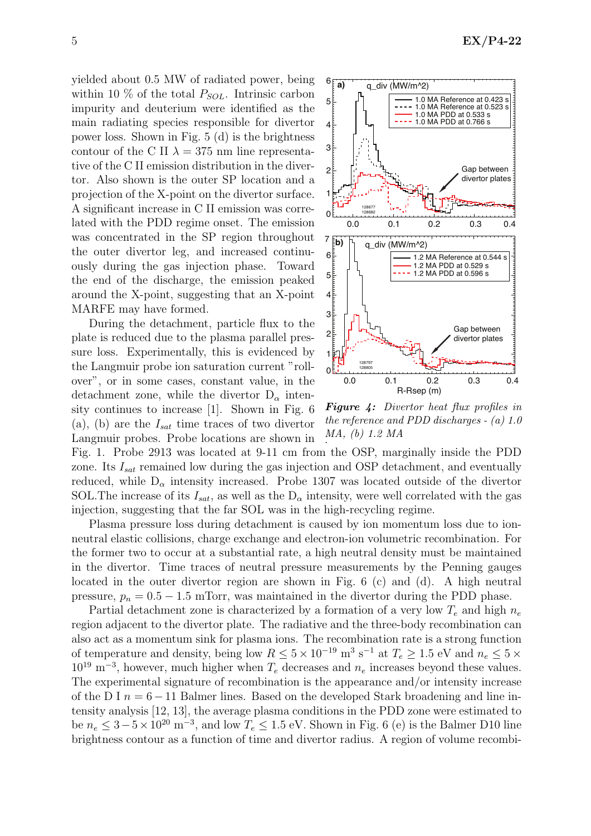yielded about 0.5 MW of radiated power, being within 10  $\%$  of the total  $P_{SOL}$ . Intrinsic carbon impurity and deuterium were identified as the main radiating species responsible for divertor power loss. Shown in Fig. 5 (d) is the brightness contour of the C II  $\lambda = 375$  nm line representative of the C II emission distribution in the divertor. Also shown is the outer SP location and a projection of the X-point on the divertor surface. A significant increase in C II emission was correlated with the PDD regime onset. The emission was concentrated in the SP region throughout the outer divertor leg, and increased continuously during the gas injection phase. Toward the end of the discharge, the emission peaked around the X-point, suggesting that an X-point MARFE may have formed.

During the detachment, particle flux to the plate is reduced due to the plasma parallel pressure loss. Experimentally, this is evidenced by the Langmuir probe ion saturation current "rollover", or in some cases, constant value, in the detachment zone, while the divertor  $D_{\alpha}$  intensity continues to increase [1]. Shown in Fig. 6 (a), (b) are the  $I_{sat}$  time traces of two divertor Langmuir probes. Probe locations are shown in



Figure 4: Divertor heat flux profiles in the reference and PDD discharges - (a) 1.0 MA, (b) 1.2 MA .

Fig. 1. Probe 2913 was located at 9-11 cm from the OSP, marginally inside the PDD zone. Its  $I_{sat}$  remained low during the gas injection and OSP detachment, and eventually reduced, while  $D_{\alpha}$  intensity increased. Probe 1307 was located outside of the divertor SOL. The increase of its  $I_{sat}$ , as well as the  $D_{\alpha}$  intensity, were well correlated with the gas injection, suggesting that the far SOL was in the high-recycling regime.

Plasma pressure loss during detachment is caused by ion momentum loss due to ionneutral elastic collisions, charge exchange and electron-ion volumetric recombination. For the former two to occur at a substantial rate, a high neutral density must be maintained in the divertor. Time traces of neutral pressure measurements by the Penning gauges located in the outer divertor region are shown in Fig. 6 (c) and (d). A high neutral pressure,  $p_n = 0.5 - 1.5$  mTorr, was maintained in the divertor during the PDD phase.

Partial detachment zone is characterized by a formation of a very low  $T_e$  and high  $n_e$ region adjacent to the divertor plate. The radiative and the three-body recombination can also act as a momentum sink for plasma ions. The recombination rate is a strong function of temperature and density, being low  $R \leq 5 \times 10^{-19}$  m<sup>3</sup> s<sup>-1</sup> at  $T_e \geq 1.5$  eV and  $n_e \leq 5 \times 10^{-19}$  $10^{19}$  m<sup>-3</sup>, however, much higher when  $T_e$  decreases and  $n_e$  increases beyond these values. The experimental signature of recombination is the appearance and/or intensity increase of the D I  $n = 6 - 11$  Balmer lines. Based on the developed Stark broadening and line intensity analysis [12, 13], the average plasma conditions in the PDD zone were estimated to be  $n_e \leq 3-5\times10^{20} \text{ m}^{-3}$ , and low  $T_e \leq 1.5 \text{ eV}$ . Shown in Fig. 6 (e) is the Balmer D10 line brightness contour as a function of time and divertor radius. A region of volume recombi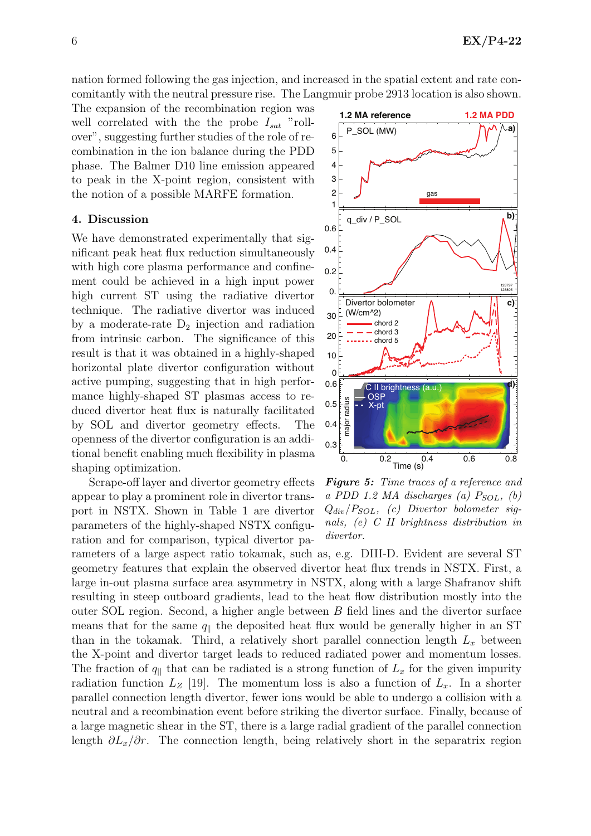nation formed following the gas injection, and increased in the spatial extent and rate concomitantly with the neutral pressure rise. The Langmuir probe 2913 location is also shown.

The expansion of the recombination region was well correlated with the the probe  $I_{sat}$  "rollover", suggesting further studies of the role of recombination in the ion balance during the PDD phase. The Balmer D10 line emission appeared to peak in the X-point region, consistent with the notion of a possible MARFE formation.

#### 4. Discussion

We have demonstrated experimentally that significant peak heat flux reduction simultaneously with high core plasma performance and confinement could be achieved in a high input power high current ST using the radiative divertor technique. The radiative divertor was induced by a moderate-rate  $D_2$  injection and radiation from intrinsic carbon. The significance of this result is that it was obtained in a highly-shaped horizontal plate divertor configuration without active pumping, suggesting that in high performance highly-shaped ST plasmas access to reduced divertor heat flux is naturally facilitated by SOL and divertor geometry effects. The openness of the divertor configuration is an additional benefit enabling much flexibility in plasma shaping optimization.

Scrape-off layer and divertor geometry effects appear to play a prominent role in divertor transport in NSTX. Shown in Table 1 are divertor parameters of the highly-shaped NSTX configuration and for comparison, typical divertor pa-



Figure 5: Time traces of a reference and a PDD 1.2 MA discharges (a)  $P_{SOL}$ , (b)  $Q_{div}/P_{SOL}$ , (c) Divertor bolometer signals, (e) C II brightness distribution in divertor.

rameters of a large aspect ratio tokamak, such as, e.g. DIII-D. Evident are several ST geometry features that explain the observed divertor heat flux trends in NSTX. First, a large in-out plasma surface area asymmetry in NSTX, along with a large Shafranov shift resulting in steep outboard gradients, lead to the heat flow distribution mostly into the outer SOL region. Second, a higher angle between  $B$  field lines and the divertor surface means that for the same  $q_{\parallel}$  the deposited heat flux would be generally higher in an ST than in the tokamak. Third, a relatively short parallel connection length  $L_x$  between the X-point and divertor target leads to reduced radiated power and momentum losses. The fraction of  $q_{\parallel}$  that can be radiated is a strong function of  $L_x$  for the given impurity radiation function  $L_z$  [19]. The momentum loss is also a function of  $L_x$ . In a shorter parallel connection length divertor, fewer ions would be able to undergo a collision with a neutral and a recombination event before striking the divertor surface. Finally, because of a large magnetic shear in the ST, there is a large radial gradient of the parallel connection length  $\partial L_x/\partial r$ . The connection length, being relatively short in the separatrix region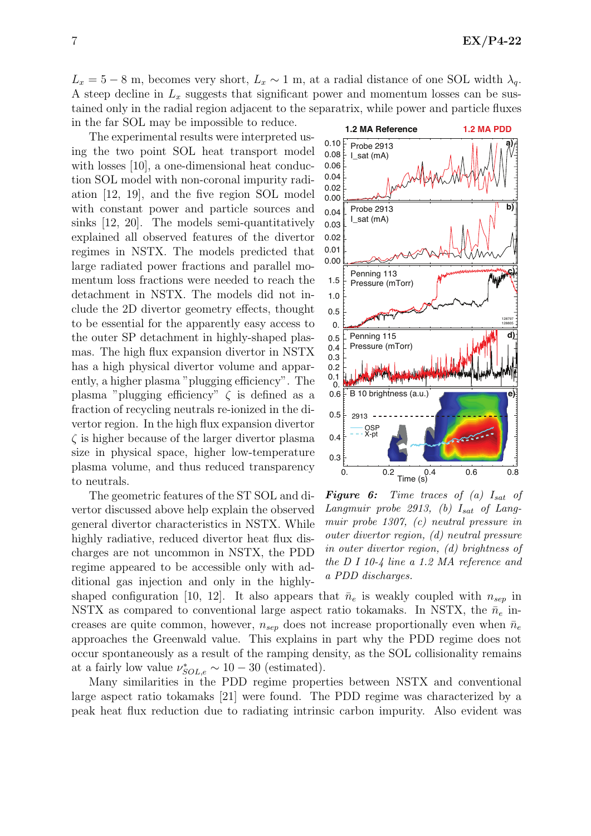$L_x = 5 - 8$  m, becomes very short,  $L_x \sim 1$  m, at a radial distance of one SOL width  $\lambda_q$ . A steep decline in  $L_x$  suggests that significant power and momentum losses can be sustained only in the radial region adjacent to the separatrix, while power and particle fluxes in the far SOL may be impossible to reduce.

The experimental results were interpreted using the two point SOL heat transport model with losses [10], a one-dimensional heat conduction SOL model with non-coronal impurity radiation [12, 19], and the five region SOL model with constant power and particle sources and sinks [12, 20]. The models semi-quantitatively explained all observed features of the divertor regimes in NSTX. The models predicted that large radiated power fractions and parallel momentum loss fractions were needed to reach the detachment in NSTX. The models did not include the 2D divertor geometry effects, thought to be essential for the apparently easy access to the outer SP detachment in highly-shaped plasmas. The high flux expansion divertor in NSTX has a high physical divertor volume and apparently, a higher plasma "plugging efficiency". The plasma "plugging efficiency"  $\zeta$  is defined as a fraction of recycling neutrals re-ionized in the divertor region. In the high flux expansion divertor  $\zeta$  is higher because of the larger divertor plasma size in physical space, higher low-temperature plasma volume, and thus reduced transparency to neutrals.

The geometric features of the ST SOL and divertor discussed above help explain the observed general divertor characteristics in NSTX. While highly radiative, reduced divertor heat flux discharges are not uncommon in NSTX, the PDD regime appeared to be accessible only with additional gas injection and only in the highly-



**Figure 6:** Time traces of (a)  $I_{sat}$  of Langmuir probe 2913, (b)  $I_{sat}$  of Langmuir probe 1307, (c) neutral pressure in outer divertor region, (d) neutral pressure in outer divertor region, (d) brightness of the D I 10-4 line a 1.2 MA reference and a PDD discharges.

shaped configuration [10, 12]. It also appears that  $\bar{n}_e$  is weakly coupled with  $n_{sep}$  in NSTX as compared to conventional large aspect ratio tokamaks. In NSTX, the  $\bar{n}_e$  increases are quite common, however,  $n_{sep}$  does not increase proportionally even when  $\bar{n}_e$ approaches the Greenwald value. This explains in part why the PDD regime does not occur spontaneously as a result of the ramping density, as the SOL collisionality remains at a fairly low value  $\nu^*_{SOL,e} \sim 10-30$  (estimated).

Many similarities in the PDD regime properties between NSTX and conventional large aspect ratio tokamaks [21] were found. The PDD regime was characterized by a peak heat flux reduction due to radiating intrinsic carbon impurity. Also evident was